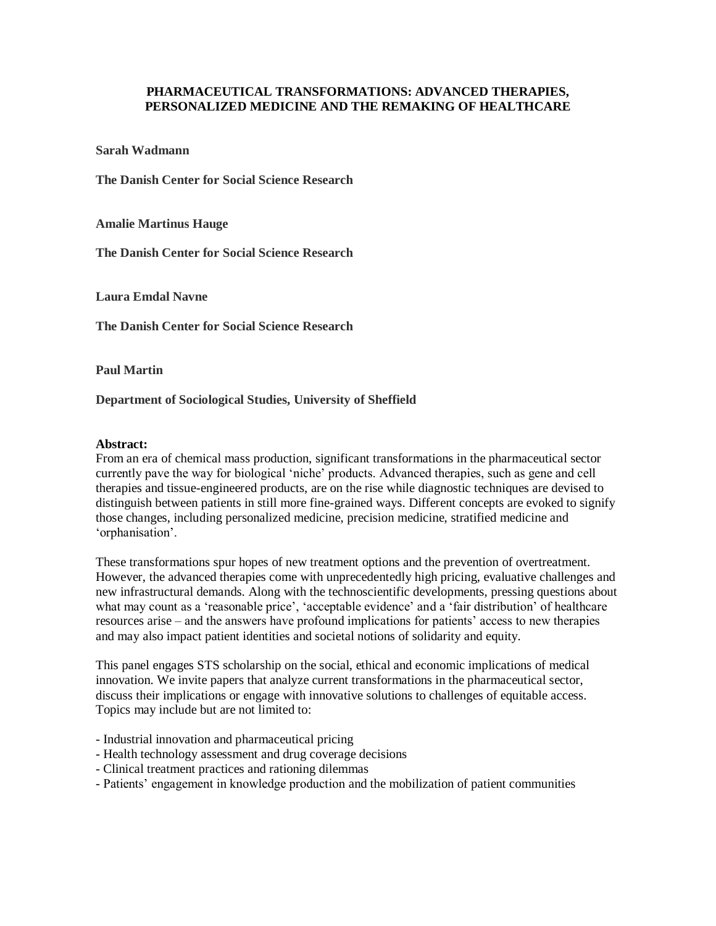## **PHARMACEUTICAL TRANSFORMATIONS: ADVANCED THERAPIES, PERSONALIZED MEDICINE AND THE REMAKING OF HEALTHCARE**

**Sarah Wadmann**

**The Danish Center for Social Science Research**

**Amalie Martinus Hauge**

**The Danish Center for Social Science Research**

**Laura Emdal Navne**

**The Danish Center for Social Science Research**

**Paul Martin**

**Department of Sociological Studies, University of Sheffield** 

## **Abstract:**

From an era of chemical mass production, significant transformations in the pharmaceutical sector currently pave the way for biological 'niche' products. Advanced therapies, such as gene and cell therapies and tissue-engineered products, are on the rise while diagnostic techniques are devised to distinguish between patients in still more fine-grained ways. Different concepts are evoked to signify those changes, including personalized medicine, precision medicine, stratified medicine and 'orphanisation'.

These transformations spur hopes of new treatment options and the prevention of overtreatment. However, the advanced therapies come with unprecedentedly high pricing, evaluative challenges and new infrastructural demands. Along with the technoscientific developments, pressing questions about what may count as a 'reasonable price', 'acceptable evidence' and a 'fair distribution' of healthcare resources arise – and the answers have profound implications for patients' access to new therapies and may also impact patient identities and societal notions of solidarity and equity.

This panel engages STS scholarship on the social, ethical and economic implications of medical innovation. We invite papers that analyze current transformations in the pharmaceutical sector, discuss their implications or engage with innovative solutions to challenges of equitable access. Topics may include but are not limited to:

- Industrial innovation and pharmaceutical pricing
- Health technology assessment and drug coverage decisions
- Clinical treatment practices and rationing dilemmas
- Patients' engagement in knowledge production and the mobilization of patient communities